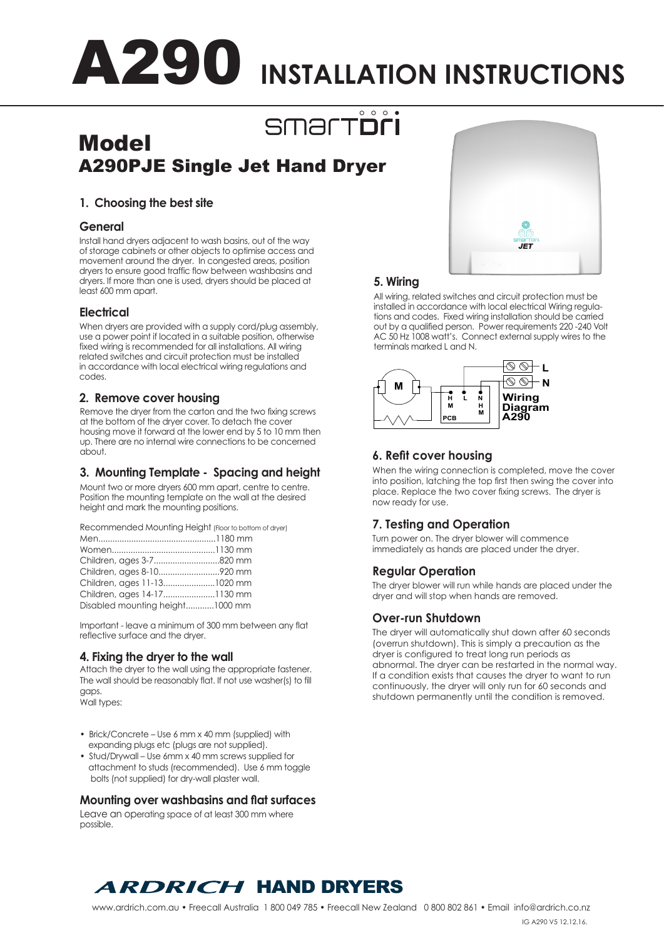# A290 **INSTALLATION INSTRUCTIONS**

#### $0$  0 0 **SMATTON**

### Model A290PJE Single Jet Hand Dryer

#### **1. Choosing the best site**

#### **General**

Install hand dryers adjacent to wash basins, out of the way of storage cabinets or other objects to optimise access and movement around the dryer. In congested areas, position dryers to ensure good traffic flow between washbasins and dryers. If more than one is used, dryers should be placed at least 600 mm apart.

#### **Electrical**

When dryers are provided with a supply cord/plug assembly, use a power point if located in a suitable position, otherwise fixed wiring is recommended for all installations. All wiring related switches and circuit protection must be installed in accordance with local electrical wiring regulations and codes.

#### **2. Remove cover housing**

Remove the dryer from the carton and the two fixing screws at the bottom of the dryer cover. To detach the cover housing move it forward at the lower end by 5 to 10 mm then up. There are no internal wire connections to be concerned about.

#### **3. Mounting Template - Spacing and height**

Mount two or more dryers 600 mm apart, centre to centre. Position the mounting template on the wall at the desired height and mark the mounting positions.

Recommended Mounting Height (Floor to bottom of dryer)

| Children, ages 3-7820 mm        |  |
|---------------------------------|--|
|                                 |  |
| Children, ages 11-131020 mm     |  |
|                                 |  |
| Disabled mounting height1000 mm |  |

Important - leave a minimum of 300 mm between any flat reflective surface and the dryer.

#### **4. Fixing the dryer to the wall**

Attach the dryer to the wall using the appropriate fastener. The wall should be reasonably flat. If not use washer(s) to fill gaps.

Wall types:

- Brick/Concrete Use 6 mm x 40 mm (supplied) with expanding plugs etc (plugs are not supplied).
- Stud/Drywall Use 6mm x 40 mm screws supplied for attachment to studs (recommended). Use 6 mm toggle bolts (not supplied) for dry-wall plaster wall.

#### **Mounting over washbasins and flat surfaces**

Leave an operating space of at least 300 mm where possible.



#### **5. Wiring**

All wiring, related switches and circuit protection must be installed in accordance with local electrical Wiring regulations and codes. Fixed wiring installation should be carried out by a qualified person. Power requirements 220 -240 Volt AC 50 Hz 1008 watt's. Connect external supply wires to the terminals marked L and N.



#### **6. Refit cover housing**

When the wiring connection is completed, move the cover into position, latching the top first then swing the cover into place. Replace the two cover fixing screws. The dryer is now ready for use.

#### **7. Testing and Operation**

Turn power on. The dryer blower will commence immediately as hands are placed under the dryer.

#### **Regular Operation**

The dryer blower will run while hands are placed under the dryer and will stop when hands are removed.

#### **Over-run Shutdown**

The dryer will automatically shut down after 60 seconds (overrun shutdown). This is simply a precaution as the dryer is configured to treat long run periods as abnormal. The dryer can be restarted in the normal way. If a condition exists that causes the dryer to want to run continuously, the dryer will only run for 60 seconds and shutdown permanently until the condition is removed.

### **ARDRICH HAND DRYERS**

IG A290 V5 12.12.16.